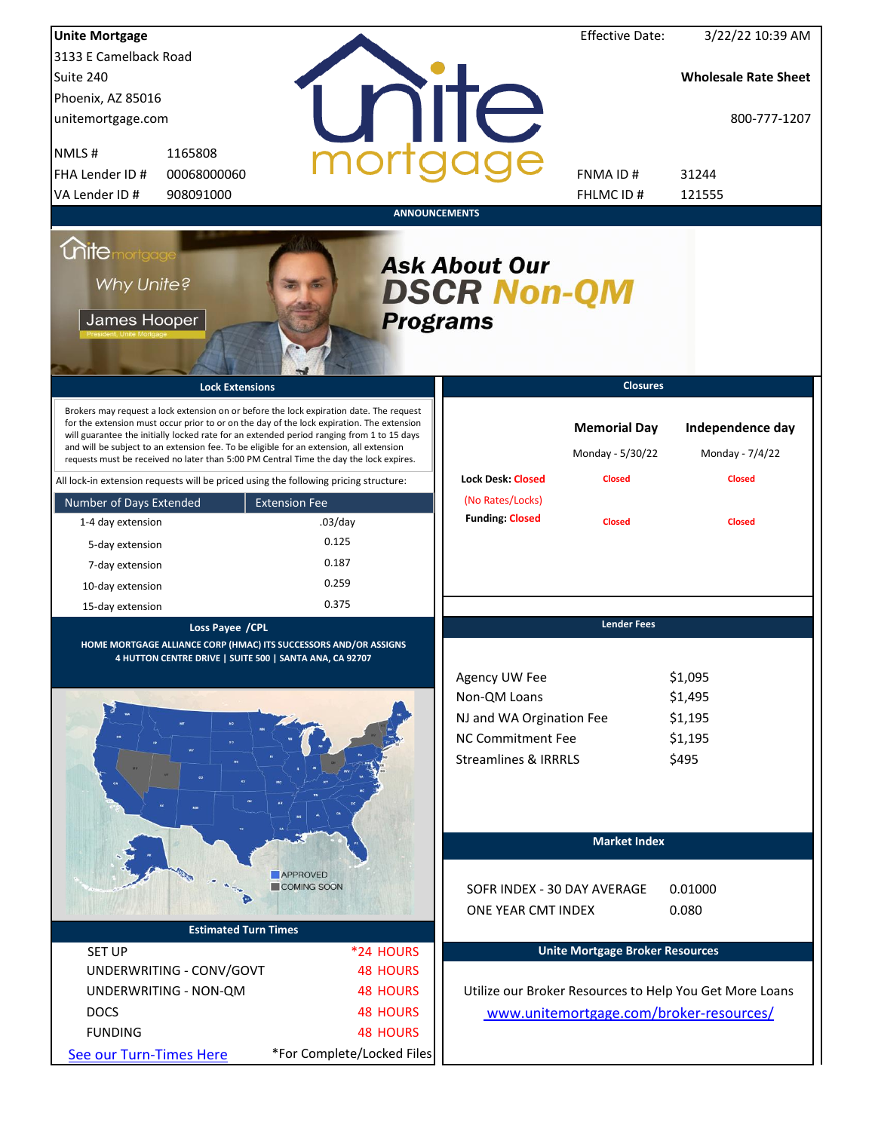| <b>Unite Mortgage</b>                             |                                                                                                                                                                                                                                                                                                                                                                                                                                                                        |                            |                                            | <b>Effective Date:</b>                  | 3/22/22 10:39 AM                                        |
|---------------------------------------------------|------------------------------------------------------------------------------------------------------------------------------------------------------------------------------------------------------------------------------------------------------------------------------------------------------------------------------------------------------------------------------------------------------------------------------------------------------------------------|----------------------------|--------------------------------------------|-----------------------------------------|---------------------------------------------------------|
| 3133 E Camelback Road                             |                                                                                                                                                                                                                                                                                                                                                                                                                                                                        |                            |                                            |                                         |                                                         |
| Suite 240                                         |                                                                                                                                                                                                                                                                                                                                                                                                                                                                        |                            |                                            |                                         | <b>Wholesale Rate Sheet</b>                             |
| Phoenix, AZ 85016                                 |                                                                                                                                                                                                                                                                                                                                                                                                                                                                        |                            |                                            |                                         |                                                         |
| unitemortgage.com                                 |                                                                                                                                                                                                                                                                                                                                                                                                                                                                        |                            | nite                                       |                                         | 800-777-1207                                            |
| NMLS#                                             | 1165808                                                                                                                                                                                                                                                                                                                                                                                                                                                                |                            |                                            |                                         |                                                         |
| FHA Lender ID #                                   | 00068000060                                                                                                                                                                                                                                                                                                                                                                                                                                                            |                            |                                            | FNMA ID#                                | 31244                                                   |
| VA Lender ID #                                    | 908091000                                                                                                                                                                                                                                                                                                                                                                                                                                                              |                            |                                            | FHLMC ID#                               | 121555                                                  |
|                                                   |                                                                                                                                                                                                                                                                                                                                                                                                                                                                        | <b>ANNOUNCEMENTS</b>       |                                            |                                         |                                                         |
| <b>Mitemortgage</b><br>Why Unite?<br>James Hooper |                                                                                                                                                                                                                                                                                                                                                                                                                                                                        | <b>Programs</b>            | <b>Ask About Our</b><br><b>DSCR Non-QM</b> |                                         |                                                         |
|                                                   | <b>Lock Extensions</b>                                                                                                                                                                                                                                                                                                                                                                                                                                                 |                            |                                            | <b>Closures</b>                         |                                                         |
|                                                   | Brokers may request a lock extension on or before the lock expiration date. The request<br>for the extension must occur prior to or on the day of the lock expiration. The extension<br>will guarantee the initially locked rate for an extended period ranging from 1 to 15 days<br>and will be subject to an extension fee. To be eligible for an extension, all extension<br>requests must be received no later than 5:00 PM Central Time the day the lock expires. |                            |                                            | <b>Memorial Day</b><br>Monday - 5/30/22 | Independence day<br>Monday - 7/4/22                     |
|                                                   | All lock-in extension requests will be priced using the following pricing structure:                                                                                                                                                                                                                                                                                                                                                                                   |                            | <b>Lock Desk: Closed</b>                   | <b>Closed</b>                           | <b>Closed</b>                                           |
| Number of Days Extended                           | <b>Extension Fee</b>                                                                                                                                                                                                                                                                                                                                                                                                                                                   |                            | (No Rates/Locks)                           |                                         |                                                         |
| 1-4 day extension                                 | $.03$ /day                                                                                                                                                                                                                                                                                                                                                                                                                                                             |                            | <b>Funding: Closed</b>                     | <b>Closed</b>                           | <b>Closed</b>                                           |
| 5-day extension                                   | 0.125                                                                                                                                                                                                                                                                                                                                                                                                                                                                  |                            |                                            |                                         |                                                         |
| 7-day extension                                   | 0.187                                                                                                                                                                                                                                                                                                                                                                                                                                                                  |                            |                                            |                                         |                                                         |
| 10-day extension                                  | 0.259                                                                                                                                                                                                                                                                                                                                                                                                                                                                  |                            |                                            |                                         |                                                         |
| 15-day extension                                  | 0.375                                                                                                                                                                                                                                                                                                                                                                                                                                                                  |                            |                                            |                                         |                                                         |
|                                                   | Loss Payee / CPL<br>HOME MORTGAGE ALLIANCE CORP (HMAC) ITS SUCCESSORS AND/OR ASSIGNS<br>4 HUTTON CENTRE DRIVE   SUITE 500   SANTA ANA, CA 92707                                                                                                                                                                                                                                                                                                                        |                            |                                            | <b>Lender Fees</b>                      |                                                         |
|                                                   |                                                                                                                                                                                                                                                                                                                                                                                                                                                                        |                            | Agency UW Fee                              |                                         | \$1,095                                                 |
|                                                   |                                                                                                                                                                                                                                                                                                                                                                                                                                                                        |                            | Non-QM Loans                               |                                         | \$1,495                                                 |
|                                                   |                                                                                                                                                                                                                                                                                                                                                                                                                                                                        |                            | NJ and WA Orgination Fee                   |                                         | \$1,195                                                 |
|                                                   |                                                                                                                                                                                                                                                                                                                                                                                                                                                                        |                            | NC Commitment Fee                          |                                         | \$1,195                                                 |
|                                                   |                                                                                                                                                                                                                                                                                                                                                                                                                                                                        |                            | <b>Streamlines &amp; IRRRLS</b>            |                                         | \$495                                                   |
|                                                   |                                                                                                                                                                                                                                                                                                                                                                                                                                                                        |                            |                                            | <b>Market Index</b>                     |                                                         |
|                                                   | <b>APPROVED</b>                                                                                                                                                                                                                                                                                                                                                                                                                                                        |                            |                                            |                                         |                                                         |
|                                                   | COMING SOON                                                                                                                                                                                                                                                                                                                                                                                                                                                            |                            | SOFR INDEX - 30 DAY AVERAGE                |                                         | 0.01000                                                 |
|                                                   |                                                                                                                                                                                                                                                                                                                                                                                                                                                                        |                            | ONE YEAR CMT INDEX                         |                                         | 0.080                                                   |
|                                                   | <b>Estimated Turn Times</b>                                                                                                                                                                                                                                                                                                                                                                                                                                            |                            |                                            |                                         |                                                         |
| <b>SET UP</b>                                     |                                                                                                                                                                                                                                                                                                                                                                                                                                                                        | *24 HOURS                  |                                            | <b>Unite Mortgage Broker Resources</b>  |                                                         |
| UNDERWRITING - CONV/GOVT                          |                                                                                                                                                                                                                                                                                                                                                                                                                                                                        | <b>48 HOURS</b>            |                                            |                                         |                                                         |
| UNDERWRITING - NON-QM                             |                                                                                                                                                                                                                                                                                                                                                                                                                                                                        | <b>48 HOURS</b>            |                                            |                                         | Utilize our Broker Resources to Help You Get More Loans |
| <b>DOCS</b>                                       |                                                                                                                                                                                                                                                                                                                                                                                                                                                                        | <b>48 HOURS</b>            |                                            |                                         | www.unitemortgage.com/broker-resources/                 |
| <b>FUNDING</b>                                    |                                                                                                                                                                                                                                                                                                                                                                                                                                                                        | <b>48 HOURS</b>            |                                            |                                         |                                                         |
| See our Turn-Times Here                           |                                                                                                                                                                                                                                                                                                                                                                                                                                                                        | *For Complete/Locked Files |                                            |                                         |                                                         |
|                                                   |                                                                                                                                                                                                                                                                                                                                                                                                                                                                        |                            |                                            |                                         |                                                         |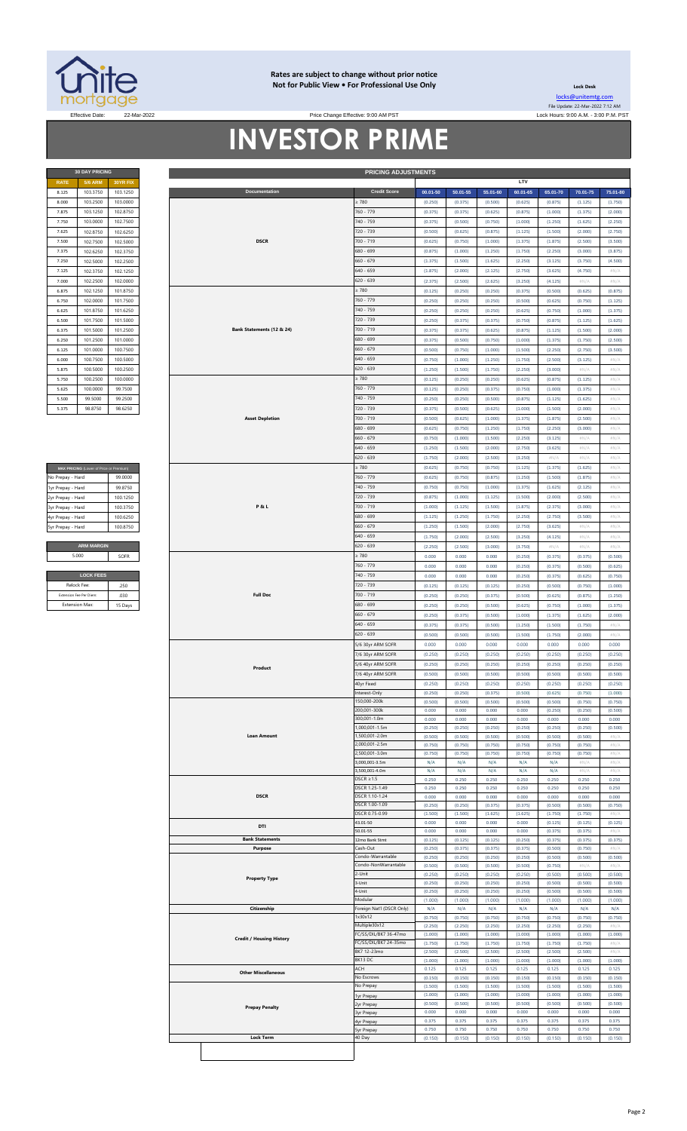

### **Rates are subject to change without prior notice Not for Public View • For Professional Use Only**

Price Change Effective: 9:00 AM PST

**30 DAY PRICING PRICING ADJUSTMENTS**

**Lock Desk** [locks@unitemtg](mailto:locks@unitemtg.com).com File Update: 22-Mar-2022 7:12 AM Effective Date: 22-Mar-2022 Lock Hours: 9:00 A.M. - 3:00 P.M. PST

# **INVESTOR PRIME**

|             | <b>30 DAY PRICING</b> |                 |
|-------------|-----------------------|-----------------|
| <b>RATE</b> | <b>5/6 ARM</b>        | <b>30YR FIX</b> |
| 8.125       | 103.3750              | 103.1250        |
| 8.000       | 103.2500              | 103.0000        |
| 7.875       | 103.1250              | 102.8750        |
| 7.750       | 103,0000              | 102.7500        |
| 7.625       | 102.8750              | 102.6250        |
| 7.500       | 102.7500              | 102.5000        |
| 7.375       | 102.6250              | 102.3750        |
| 7.250       | 102.5000              | 102.2500        |
| 7.125       | 102.3750              | 102.1250        |
| 7.000       | 102.2500              | 102.0000        |
| 6.875       | 102.1250              | 101.8750        |
| 6.750       | 102.0000              | 101.7500        |
| 6.625       | 101.8750              | 101.6250        |
| 6.500       | 101.7500              | 101.5000        |
| 6.375       | 101.5000              | 101.2500        |
| 6.250       | 101.2500              | 101.0000        |
| 6.125       | 101.0000              | 100.7500        |
| 6.000       | 100.7500              | 100,5000        |
| 5.875       | 100,5000              | 100.2500        |
| 5.750       | 100.2500              | 100,0000        |
| 5.625       | 100,0000              | 99.7500         |
| 5.500       | 99.5000               | 99.2500         |
| 5.375       | 98.8750               | 98.6250         |

| No Prepay - Hard  | 99.0000  |
|-------------------|----------|
| 1yr Prepay - Hard | 99 8750  |
| 2yr Prepay - Hard | 100 1250 |
| 3yr Prepay - Hard | 100 3750 |
| 4yr Prepay - Hard | 100 6250 |
| 5yr Prepay - Hard | 100.8750 |
|                   |          |

| <b>LOCK FEES</b>        |         |
|-------------------------|---------|
| Relock Fee:             | .250    |
| Extension Fee Per Diem: | .030    |
| <b>Extension Max:</b>   | 15 Days |

| <b>RATE</b>       | <b>5/6 ARM</b>                          | 30YR FIX |                                 |                           |          |          |          | LTV      |          |          |                            |
|-------------------|-----------------------------------------|----------|---------------------------------|---------------------------|----------|----------|----------|----------|----------|----------|----------------------------|
| 8.125             | 103.3750                                | 103.1250 | Documentation                   | <b>Credit Score</b>       | 00.01-50 | 50.01-55 | 55.01-60 | 60.01-65 | 65.01-70 | 70.01-75 | 75.01-80                   |
|                   |                                         |          |                                 |                           |          |          |          |          |          |          |                            |
| 8.000             | 103.2500                                | 103.0000 |                                 | $\geq 780$                | (0.250)  | (0.375)  | (0.500)  | (0.625)  | (0.875)  | (1.125)  | (1.750)                    |
| 7.875             | 103.1250                                | 102.8750 |                                 | 760 - 779                 | (0.375)  | (0.375)  | (0.625)  | (0.875)  | (1.000)  | (1.375)  | (2.000)                    |
| 7.750             | 103.0000                                | 102.7500 |                                 | 740 - 759                 |          | (0.500)  | (0.750)  | (1.000)  | (1.250)  | (1.625)  | (2.250)                    |
|                   |                                         |          |                                 |                           | (0.375)  |          |          |          |          |          |                            |
| 7.625             | 102.8750                                | 102.6250 |                                 | 720 - 739                 | (0.500)  | (0.625)  | (0.875)  | (1.125)  | (1.500)  | (2.000)  | (2.750)                    |
| 7.500             | 102.7500                                | 102.5000 | <b>DSCR</b>                     | 700 - 719                 | (0.625)  | (0.750)  | (1.000)  | (1.375)  | (1.875)  | (2.500)  | (3.500)                    |
| 7.375             | 102.6250                                | 102.3750 |                                 | 680 - 699                 | (0.875)  | (1.000)  | (1.250)  | (1.750)  | (2.250)  | (3.000)  | (3.875)                    |
|                   |                                         |          |                                 |                           |          |          |          |          |          |          |                            |
| 7.250             | 102.5000                                | 102.2500 |                                 | $660 - 679$               | (1.375)  | (1.500)  | (1.625)  | (2.250)  | (3.125)  | (3.750)  | (4.500)                    |
| 7.125             | 102.3750                                | 102.1250 |                                 | $640 - 659$               | (1.875)  | (2.000)  | (2.125)  | (2.750)  | (3.625)  | (4.750)  | $\#N/A$                    |
| 7.000             | 102.2500                                | 102.0000 |                                 | $620 - 639$               | (2.375)  | (2.500)  | (2.625)  | (3.250)  | (4.125)  | #N/A     | $\#N/A$                    |
|                   |                                         |          |                                 |                           |          |          |          |          |          |          |                            |
| 6.875             | 102.1250                                | 101.8750 |                                 | $\geq 780$                | (0.125)  | (0.250)  | (0.250)  | (0.375)  | (0.500)  | (0.625)  | (0.875)                    |
| 6.750             | 102.0000                                | 101.7500 |                                 | 760 - 779                 | (0.250)  | (0.250)  | (0.250)  | (0.500)  | (0.625)  | (0.750)  | (1.125)                    |
| 6.625             | 101.8750                                | 101.6250 |                                 | 740 - 759                 | (0.250)  | (0.250)  | (0.250)  | (0.625)  | (0.750)  | (1.000)  | (1.375)                    |
|                   |                                         |          |                                 |                           |          |          |          |          |          |          |                            |
| 6.500             | 101.7500                                | 101.5000 |                                 | 720 - 739                 | (0.250)  | (0.375)  | (0.375)  | (0.750)  | (0.875)  | (1.125)  | (1.625)                    |
| 6.375             | 101.5000                                | 101.2500 | Bank Statements (12 & 24)       | 700 - 719                 | (0.375)  | (0.375)  | (0.625)  | (0.875)  | (1.125)  | (1.500)  | (2.000)                    |
| 6.250             |                                         |          |                                 | 680 - 699                 | (0.375)  | (0.500)  | (0.750)  | (1.000)  |          |          |                            |
|                   | 101.2500                                | 101.0000 |                                 |                           |          |          |          |          | (1.375)  | (1.750)  | (2.500)                    |
| 6.125             | 101.0000                                | 100.7500 |                                 | $660 - 679$               | (0.500)  | (0.750)  | (1.000)  | (1.500)  | (2.250)  | (2.750)  | (3.500)                    |
| 6.000             | 100.7500                                | 100.5000 |                                 | 640 - 659                 | (0.750)  | (1.000)  | (1.250)  | (1.750)  | (2.500)  | (3.125)  | $\# \mathbb{N}/\mathbb{A}$ |
| 5.875             | 100.5000                                | 100.2500 |                                 | 620 - 639                 | (1.250)  | (1.500)  | (1.750)  | (2.250)  | (3.000)  | #N/A     | #N/A                       |
|                   |                                         |          |                                 |                           |          |          |          |          |          |          |                            |
| 5.750             | 100.2500                                | 100.0000 |                                 | $\geq 780$                | (0.125)  | (0.250)  | (0.250)  | (0.625)  | (0.875)  | (1.125)  | #N/A                       |
| 5.625             | 100.0000                                | 99.7500  |                                 | 760 - 779                 | (0.125)  | (0.250)  | (0.375)  | (0.750)  | (1.000)  | (1.375)  | $\#N/A$                    |
| 5.500             | 99.5000                                 | 99.2500  |                                 | 740 - 759                 | (0.250)  | (0.250)  | (0.500)  | (0.875)  | (1.125)  | (1.625)  | $\#N/A$                    |
|                   |                                         |          |                                 |                           |          |          |          |          |          |          |                            |
| 5.375             | 98.8750                                 | 98.6250  |                                 | 720 - 739                 | (0.375)  | (0.500)  | (0.625)  | (1.000)  | (1.500)  | (2.000)  | $\#N/A$                    |
|                   |                                         |          | <b>Asset Depletion</b>          | 700 - 719                 | (0.500)  | (0.625)  | (1.000)  | (1.375)  | (1.875)  | (2.500)  | $\#N/A$                    |
|                   |                                         |          |                                 | 680 - 699                 | (0.625)  | (0.750)  | (1.250)  | (1.750)  | (2.250)  | (3.000)  | $\#N/A$                    |
|                   |                                         |          |                                 |                           |          |          |          |          |          |          |                            |
|                   |                                         |          |                                 | $660 - 679$               | (0.750)  | (1.000)  | (1.500)  | (2.250)  | (3.125)  | #N/A     | #N/A                       |
|                   |                                         |          |                                 | $640 - 659$               | (1.250)  | (1.500)  | (2.000)  | (2.750)  | (3.625)  | #N/A     | $\#N/A$                    |
|                   |                                         |          |                                 | 620 - 639                 | (1.750)  | (2.000)  | (2.500)  | (3.250)  | $\#N/A$  | #N/A     | #N/A                       |
|                   |                                         |          |                                 |                           |          |          |          |          |          |          |                            |
|                   | MAX PRICING (Lower of Price or Premium) |          |                                 | $\geq 780$                | (0.625)  | (0.750)  | (0.750)  | (1.125)  | (1.375)  | (1.625)  | #N/A                       |
| No Prepay - Hard  |                                         | 99.0000  |                                 | 760 - 779                 | (0.625)  | (0.750)  | (0.875)  | (1.250)  | (1.500)  | (1.875)  | $\# \mathbb{N}/\mathbb{A}$ |
| 1yr Prepay - Hard |                                         | 99.8750  |                                 | 740 - 759                 | (0.750)  | (0.750)  | (1.000)  | (1.375)  | (1.625)  | (2.125)  | $\# \mathbb{N}/\mathbb{A}$ |
|                   |                                         |          |                                 |                           |          |          |          |          |          |          |                            |
| 2yr Prepay - Hard |                                         | 100.1250 |                                 | 720 - 739                 | (0.875)  | (1.000)  | (1.125)  | (1.500)  | (2.000)  | (2.500)  | #N/A                       |
| 3yr Prepay - Hard |                                         | 100.3750 | <b>P&amp;L</b>                  | 700 - 719                 | (1.000)  | (1.125)  | (1.500)  | (1.875)  | (2.375)  | (3.000)  | $\#N/A$                    |
| 4yr Prepay - Hard |                                         | 100.6250 |                                 | 680 - 699                 | (1.125)  | (1.250)  | (1.750)  | (2.250)  | (2.750)  | (3.500)  | $\#N/A$                    |
|                   |                                         |          |                                 | $660 - 679$               |          |          |          |          |          |          |                            |
| 5yr Prepay - Hard |                                         | 100.8750 |                                 |                           | (1.250)  | (1.500)  | (2.000)  | (2.750)  | (3.625)  | $\#N/A$  | $\#N/A$                    |
|                   |                                         |          |                                 | 640 - 659                 | (1.750)  | (2.000)  | (2.500)  | (3.250)  | (4.125)  | #N/A     | $\#N/A$                    |
|                   | <b>ARM MARGIN</b>                       |          |                                 | $620 - 639$               | (2.250)  | (2.500)  | (3.000)  | (3.750)  | $\#N/A$  | #N/A     | #N/A                       |
|                   |                                         |          |                                 |                           |          |          |          |          |          |          |                            |
|                   | 5.000                                   | SOFR     |                                 | $\geq 780$                | 0.000    | 0.000    | 0.000    | (0.250)  | (0.375)  | (0.375)  | (0.500)                    |
|                   |                                         |          |                                 | 760 - 779                 | 0.000    | 0.000    | 0.000    | (0.250)  | (0.375)  | (0.500)  | (0.625)                    |
|                   | <b>LOCK FEES</b>                        |          |                                 | 740 - 759                 | 0.000    | 0.000    | 0.000    | (0.250)  | (0.375)  | (0.625)  | (0.750)                    |
|                   |                                         |          |                                 |                           |          |          |          |          |          |          |                            |
|                   | Relock Fee:                             | .250     |                                 | 720 - 739                 | (0.125)  | (0.125)  | (0.125)  | (0.250)  | (0.500)  | (0.750)  | (1.000)                    |
|                   | <b>Extension Fee Per Diem</b>           | .030     | <b>Full Doc</b>                 | 700 - 719                 | (0.250)  | (0.250)  | (0.375)  | (0.500)  | (0.625)  | (0.875)  | (1.250)                    |
|                   | <b>Extension Max:</b>                   | 15 Days  |                                 | 680 - 699                 | (0.250)  | (0.250)  | (0.500)  | (0.625)  | (0.750)  | (1.000)  | (1.375)                    |
|                   |                                         |          |                                 |                           |          |          |          |          |          |          |                            |
|                   |                                         |          |                                 | 660 - 679                 | (0.250)  | (0.375)  | (0.500)  | (1.000)  | (1.375)  | (1.625)  | (2.000)                    |
|                   |                                         |          |                                 | 640 - 659                 | (0.375)  | (0.375)  | (0.500)  | (1.250)  | (1.500)  | (1.750)  | #N/A                       |
|                   |                                         |          |                                 | $620 - 639$               | (0.500)  | (0.500)  | (0.500)  | (1.500)  | (1.750)  | (2.000)  | #N/A                       |
|                   |                                         |          |                                 |                           |          |          |          |          |          |          |                            |
|                   |                                         |          |                                 | 5/6 30yr ARM SOFR         | 0.000    | 0.000    | 0.000    | 0.000    | 0.000    | 0.000    | 0.000                      |
|                   |                                         |          |                                 | 7/6 30yr ARM SOFR         | (0.250)  | (0.250)  | (0.250)  | (0.250)  | (0.250)  | (0.250)  | (0.250)                    |
|                   |                                         |          |                                 | /6 40yr ARM SOFR          | (0.250)  | (0.250)  | (0.250)  | (0.250)  | (0.250)  | (0.250)  | (0.250)                    |
|                   |                                         |          | Product                         | 7/6 40yr ARM SOFR         | (0.500)  |          |          | (0.500)  | (0.500)  | (0.500)  |                            |
|                   |                                         |          |                                 |                           |          | (0.500)  | (0.500)  |          |          |          | (0.500)                    |
|                   |                                         |          |                                 | iuyr Fixea                | (0.250)  | (0.250)  | (0.250)  | (0.250)  | (0.250)  | (0.250)  | (0.250)                    |
|                   |                                         |          |                                 | Interest-Only             | (0.250)  | (0.250)  | (0.375)  | (0.500)  | (0.625)  | (0.750)  | (1.000)                    |
|                   |                                         |          |                                 | 150,000-200k              | (0.500)  | (0.500)  | (0.500)  | (0.500)  | (0.500)  | (0.750)  | (0.750)                    |
|                   |                                         |          |                                 | 200,001-300k              | 0.000    | 0.000    | 0.000    | 0.000    | (0.250)  | (0.250)  | (0.500)                    |
|                   |                                         |          |                                 | 300,001-1.0m              | 0.000    | 0.000    | 0.000    | 0.000    | 0.000    | 0.000    | 0.000                      |
|                   |                                         |          |                                 | 1,000,001-1.5m            |          |          |          |          |          |          |                            |
|                   |                                         |          |                                 |                           | (0.250)  | (0.250)  | (0.250)  | (0.250)  | (0.250)  | (0.250)  | (0.500)                    |
|                   |                                         |          | <b>Loan Amount</b>              | 1,500,001-2.0m            | (0.500)  | (0.500)  | (0.500)  | (0.500)  | (0.500)  | (0.500)  | #N/A                       |
|                   |                                         |          |                                 | 000,001-2.5m              | (0.750)  | (0.750)  | (0.750)  | (0.750)  | (0.750)  | (0.750)  | #N/A                       |
|                   |                                         |          |                                 | 2,500,001-3.0m            | (0.750)  | (0.750)  | (0.750)  | (0.750)  | (0.750)  | (0.750)  | $\#N/\beta$                |
|                   |                                         |          |                                 | ,000,001-3.5m             | N/A      | N/A      | N/A      | N/A      | N/A      | #N/A     | #N/A                       |
|                   |                                         |          |                                 | ,500,001-4.0m             | N/A      | N/A      | N/A      | N/A      | N/A      | #N//     | #N/ $/$                    |
|                   |                                         |          |                                 | $DSCR \geq 1.5$           | 0.250    | 0.250    | 0.250    | 0.250    | 0.250    | 0.250    | 0.250                      |
|                   |                                         |          |                                 | DSCR 1.25-1.49            | 0.250    | 0.250    | 0.250    | 0.250    | 0.250    | 0.250    | 0.250                      |
|                   |                                         |          | <b>DSCR</b>                     | DSCR 1.10-1.24            | 0.000    | 0.000    | 0.000    | 0.000    | 0.000    | 0.000    | 0.000                      |
|                   |                                         |          |                                 | DSCR 1.00-1.09            | (0.250)  | (0.250)  | (0.375)  | (0.375)  | (0.500)  | (0.500)  | (0.750)                    |
|                   |                                         |          |                                 |                           |          |          |          |          |          |          |                            |
|                   |                                         |          |                                 | DSCR 0.75-0.99            | (1.500)  | (1.500)  | (1.625)  | (1.625)  | (1.750)  | (1.750)  | #N/ $\rho$                 |
|                   |                                         |          | DTI                             | 43.01-50                  | 0.000    | 0.000    | 0.000    | 0.000    | (0.125)  | (0.125)  | (0.125)                    |
|                   |                                         |          |                                 | 50.01-55                  | 0.000    | 0.000    | 0.000    | 0.000    | (0.375)  | (0.375)  | #N/                        |
|                   |                                         |          | <b>Bank Statements</b>          | 12mo Bank Stmt            | (0.125)  | (0.125)  | (0.125)  | (0.250)  | (0.375)  | (0.375)  | (0.375)                    |
|                   |                                         |          | Purpose                         | Cash-Out                  | (0.250)  | (0.375)  | (0.375)  | (0.375)  | (0.500)  | (0.750)  | #N/A                       |
|                   |                                         |          |                                 | Condo-Warrantable         | (0.250)  | (0.250)  | (0.250)  | (0.250)  | (0.500)  | (0.500)  | (0.500)                    |
|                   |                                         |          |                                 | Iondo-NonWarrantable      | (0.500)  | (0.500)  | (0.500)  | (0.500)  | (0.750)  | #N/A     | $\#N/\beta$                |
|                   |                                         |          |                                 | -Unit                     |          |          |          |          |          |          |                            |
|                   |                                         |          | <b>Property Type</b>            |                           | (0.250)  | (0.250)  | (0.250)  | (0.250)  | (0.500)  | (0.500)  | (0.500)                    |
|                   |                                         |          |                                 | -Unit                     | (0.250)  | (0.250)  | (0.250)  | (0.250)  | (0.500)  | (0.500)  | (0.500)                    |
|                   |                                         |          |                                 | l-Unit                    | (0.250)  | (0.250)  | (0.250)  | (0.250)  | (0.500)  | (0.500)  | (0.500)                    |
|                   |                                         |          |                                 | Modular                   | (1.000)  | (1.000)  | (1.000)  | (1.000)  | (1.000)  | (1.000)  | (1.000)                    |
|                   |                                         |          | Citizenship                     | Foreign Nat'l (DSCR Only) | N/A      | N/A      | N/A      | N/A      | N/A      | N/A      | N/A                        |
|                   |                                         |          |                                 | 1x30x12                   | (0.750)  | (0.750)  | (0.750)  | (0.750)  | (0.750)  | (0.750)  | (0.750)                    |
|                   |                                         |          |                                 | Multiple30x12             | (2.250)  | (2.250)  | (2.250)  | (2.250)  | (2.250)  | (2.250)  | #N/A                       |
|                   |                                         |          |                                 | FC/SS/DIL/BK7 36-47mo     | (1.000)  | (1.000)  | (1.000)  | (1.000)  | (1.000)  | (1.000)  | (1.000)                    |
|                   |                                         |          | <b>Credit / Housing History</b> | FC/SS/DIL/BK7 24-35mo     |          |          |          |          |          |          |                            |
|                   |                                         |          |                                 |                           | (1.750)  | (1.750)  | (1.750)  | (1.750)  | (1.750)  | (1.750)  | $\#N/A$                    |
|                   |                                         |          |                                 | BK7 12-23mo               | (2.500)  | (2.500)  | (2.500)  | (2.500)  | (2.500)  | (2.500)  | #N/A                       |
|                   |                                         |          |                                 | BK13 DC                   | (1.000)  | (1.000)  | (1.000)  | (1.000)  | (1.000)  | (1.000)  | (1.000)                    |
|                   |                                         |          | <b>Other Miscellaneous</b>      | ACH                       | 0.125    | 0.125    | 0.125    | 0.125    | 0.125    | 0.125    | 0.125                      |
|                   |                                         |          |                                 | No Escrows                | (0.150)  | (0.150)  | (0.150)  | (0.150)  | (0.150)  | (0.150)  | (0.150)                    |
|                   |                                         |          |                                 | No Prepay                 | (1.500)  | (1.500)  | (1.500)  | (1.500)  | (1.500)  | (1.500)  | (1.500)                    |
|                   |                                         |          |                                 | yr Prepay                 | (1.000)  | (1.000)  | (1.000)  | (1.000)  | (1.000)  | (1.000)  | (1.000)                    |
|                   |                                         |          |                                 | yr Prepay                 | (0.500)  | (0.500)  | (0.500)  | (0.500)  | (0.500)  | (0.500)  | (0.500)                    |
|                   |                                         |          | <b>Prepay Penalty</b>           |                           | 0.000    | 0.000    | 0.000    | 0.000    | 0.000    | 0.000    | 0.000                      |
|                   |                                         |          |                                 | yr Prepay                 |          |          |          |          |          |          |                            |
|                   |                                         |          |                                 | 4yr Prepay                | 0.375    | 0.375    | 0.375    | 0.375    | 0.375    | 0.375    | 0.375                      |
|                   |                                         |          |                                 | yr Prepay                 | 0.750    | 0.750    | 0.750    | 0.750    | 0.750    | 0.750    | 0.750                      |
|                   |                                         |          | <b>Lock Term</b>                |                           |          |          |          |          |          |          | (0.150)                    |
|                   |                                         |          |                                 | 40 Day                    | (0.150)  | (0.150)  | (0.150)  | (0.150)  | (0.150)  | (0.150)  |                            |
|                   |                                         |          |                                 |                           |          |          |          |          |          |          |                            |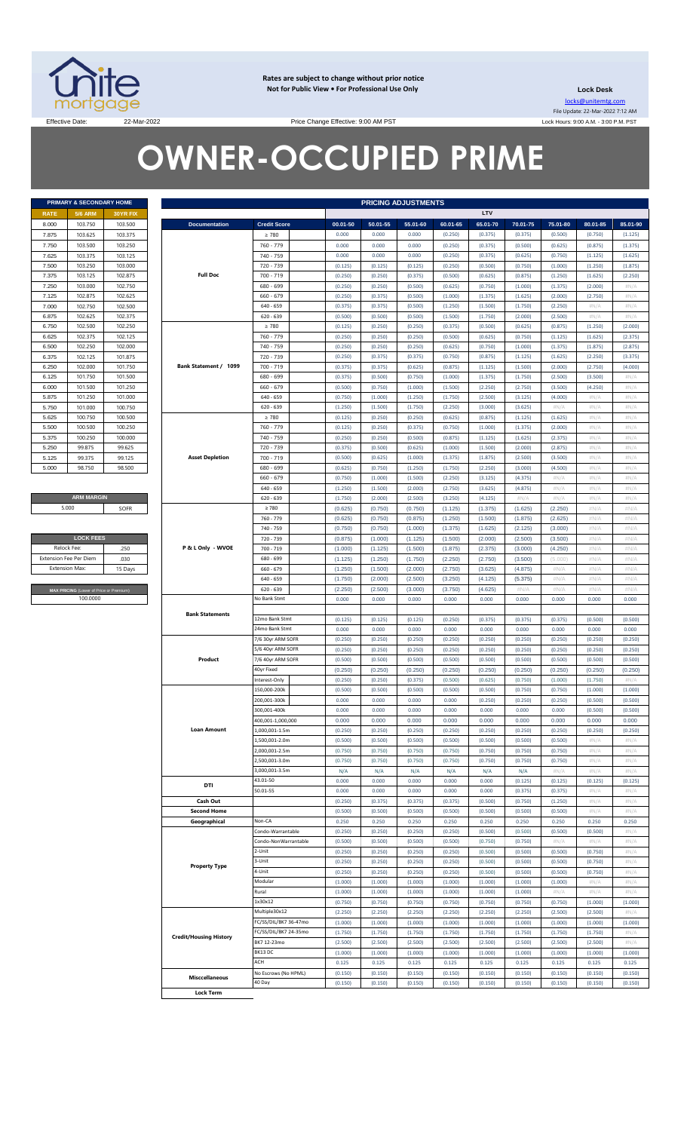

**Rates are subject to change without prior notice Not for Public View • For Professional Use Only** 

**Lock Desk** locks@unitemtg.com File Update: 22-Mar-2022 7:12 AM Lock Hours: 9:00 A.M. - 3:00 P.M. PST

Effective Date: 22-Mar-2022 22-Mar-2022 Price Change Effective: 9:00 AM PST

# **OWNER-OCCUPIED PRIME**

|             | PRIMARY & SECONDARY HOME |                 |
|-------------|--------------------------|-----------------|
| <b>RATE</b> | <b>5/6 ARM</b>           | <b>30YR FIX</b> |
| 8.000       | 103.750                  | 103.500         |
| 7.875       | 103.625                  | 103.375         |
| 7.750       | 103.500                  | 103.250         |
| 7.625       | 103.375                  | 103.125         |
| 7.500       | 103.250                  | 103.000         |
| 7.375       | 103.125                  | 102.875         |
| 7.250       | 103,000                  | 102.750         |
| 7.125       | 102.875                  | 102.625         |
| 7.000       | 102.750                  | 102.500         |
| 6.875       | 102.625                  | 102.375         |
| 6.750       | 102.500                  | 102.250         |
| 6.625       | 102.375                  | 102.125         |
| 6.500       | 102.250                  | 102.000         |
| 6.375       | 102.125                  | 101.875         |
| 6.250       | 102.000                  | 101.750         |
| 6.125       | 101.750                  | 101.500         |
| 6.000       | 101.500                  | 101.250         |
| 5.875       | 101.250                  | 101.000         |
| 5.750       | 101.000                  | 100.750         |
| 5.625       | 100.750                  | 100.500         |
| 5.500       | 100.500                  | 100.250         |
| 5.375       | 100.250                  | 100,000         |
| 5.250       | 99.875                   | 99.625          |
| 5.125       | 99.375                   | 99.125          |
| 5.000       | 98.750                   | 98.500          |

**ARM MARGIN** 5.000

| <b>LOCK FEES</b>                        |         |  |  |  |  |  |  |  |  |
|-----------------------------------------|---------|--|--|--|--|--|--|--|--|
| Relock Fee:                             | 250     |  |  |  |  |  |  |  |  |
| <b>Extension Fee Per Diem</b>           | .030    |  |  |  |  |  |  |  |  |
| <b>Extension Max:</b>                   | 15 Days |  |  |  |  |  |  |  |  |
|                                         |         |  |  |  |  |  |  |  |  |
| MAX PRICING (Lower of Price or Premium) |         |  |  |  |  |  |  |  |  |
| 100,0000                                |         |  |  |  |  |  |  |  |  |

|                                         | PRIMARY & SECONDARY HOME |                               |                       | <b>PRICING ADJUSTMENTS</b> |          |          |          |          |          |          |          |              |  |
|-----------------------------------------|--------------------------|-------------------------------|-----------------------|----------------------------|----------|----------|----------|----------|----------|----------|----------|--------------|--|
| <b>5/6 ARM</b>                          | <b>30YR FIX</b>          |                               |                       |                            |          |          |          | LTV      |          |          |          |              |  |
| 103.750                                 | 103.500                  | <b>Documentation</b>          | <b>Credit Score</b>   | 00.01-50                   | 50.01-55 | 55.01-60 | 60.01-65 | 65.01-70 | 70.01-75 | 75.01-80 | 80.01-85 | 85.01-90     |  |
| 103.625                                 | 103.375                  |                               | $\geq 780$            | 0.000                      | 0.000    | 0.000    | (0.250)  | (0.375)  | (0.375)  | (0.500)  | (0.750)  | (1.125)      |  |
| 103.500                                 | 103.250                  |                               | 760 - 779             | 0.000                      | 0.000    | 0.000    | (0.250)  | (0.375)  | (0.500)  | (0.625)  | (0.875)  | (1.375)      |  |
| 103.375                                 | 103.125                  |                               | 740 - 759             | 0.000                      | 0.000    | 0.000    | (0.250)  | (0.375)  | (0.625)  | (0.750)  | (1.125)  | (1.625)      |  |
| 103.250                                 | 103.000                  |                               | 720 - 739             | (0.125)                    | (0.125)  | (0.125)  | (0.250)  | (0.500)  | (0.750)  | (1.000)  | (1.250)  | (1.875)      |  |
| 103.125                                 | 102.875                  | <b>Full Doc</b>               | 700 - 719             | (0.250)                    | (0.250)  | (0.375)  | (0.500)  | (0.625)  | (0.875)  | (1.250)  | (1.625)  | (2.250)      |  |
| 103.000                                 | 102.750                  |                               | 680 - 699             | (0.250)                    | (0.250)  | (0.500)  | (0.625)  | (0.750)  | (1.000)  | (1.375)  | (2.000)  | #N/A         |  |
| 102.875                                 | 102.625                  |                               | $660 - 679$           | (0.250)                    | (0.375)  | (0.500)  | (1.000)  | (1.375)  | (1.625)  | (2.000)  | (2.750)  | #N/A         |  |
| 102.750                                 | 102.500                  |                               | 640 - 659             | (0.375)                    | (0.375)  | (0.500)  | (1.250)  | (1.500)  | (1.750)  | (2.250)  | $\#N/A$  | #N/A         |  |
| 102.625                                 | 102.375                  |                               | $620 - 639$           | (0.500)                    | (0.500)  | (0.500)  | (1.500)  | (1.750)  | (2.000)  | (2.500)  | $\#N/A$  | #N/A         |  |
| 102.500                                 | 102.250                  |                               | $\geq 780$            | (0.125)                    | (0.250)  | (0.250)  | (0.375)  | (0.500)  | (0.625)  | (0.875)  | (1.250)  | (2.000)      |  |
| 102.375                                 | 102.125                  |                               | 760 - 779             | (0.250)                    | (0.250)  | (0.250)  | (0.500)  | (0.625)  | (0.750)  | (1.125)  | (1.625)  | (2.375)      |  |
| 102.250                                 | 102.000                  |                               | 740 - 759             | (0.250)                    | (0.250)  | (0.250)  | (0.625)  | (0.750)  | (1.000)  | (1.375)  | (1.875)  | (2.875)      |  |
| 102.125                                 | 101.875                  |                               | 720 - 739             | (0.250)                    | (0.375)  | (0.375)  | (0.750)  | (0.875)  | (1.125)  | (1.625)  | (2.250)  | (3.375)      |  |
| 102.000                                 | 101.750                  | Bank Statement / 1099         | 700 - 719             | (0.375)                    | (0.375)  | (0.625)  | (0.875)  | (1.125)  | (1.500)  | (2.000)  | (2.750)  | (4.000)      |  |
| 101.750                                 | 101.500                  |                               | 680 - 699             | (0.375)                    | (0.500)  | (0.750)  | (1.000)  | (1.375)  | (1.750)  | (2.500)  | (3.500)  | #N/A         |  |
| 101.500                                 | 101.250                  |                               | $660 - 679$           | (0.500)                    | (0.750)  | (1.000)  | (1.500)  | (2.250)  | (2.750)  | (3.500)  | (4.250)  | #N/A         |  |
| 101.250                                 | 101.000                  |                               | $640 - 659$           | (0.750)                    | (1.000)  | (1.250)  | (1.750)  | (2.500)  | (3.125)  | (4.000)  | $\#N/A$  | #N/A         |  |
| 101.000                                 | 100.750                  |                               | $620 - 639$           | (1.250)                    | (1.500)  | (1.750)  | (2.250)  | (3.000)  | (3.625)  | #N/A     | $\#N/A$  | #N/A         |  |
| 100.750                                 | 100.500                  |                               | $\geq 780$            | (0.125)                    | (0.250)  | (0.250)  | (0.625)  | (0.875)  | (1.125)  | (1.625)  | $\#N/A$  | #N/A         |  |
| 100.500                                 | 100.250                  |                               | 760 - 779             |                            |          |          |          |          |          |          |          |              |  |
|                                         |                          |                               |                       | (0.125)                    | (0.250)  | (0.375)  | (0.750)  | (1.000)  | (1.375)  | (2.000)  | $\#N/A$  | #N/A         |  |
| 100.250                                 | 100.000                  |                               | 740 - 759             | (0.250)                    | (0.250)  | (0.500)  | (0.875)  | (1.125)  | (1.625)  | (2.375)  | $\#N/A$  | #N/A<br>#N/A |  |
| 99.875                                  | 99.625                   |                               | 720 - 739             | (0.375)                    | (0.500)  | (0.625)  | (1.000)  | (1.500)  | (2.000)  | (2.875)  | $\#N/A$  |              |  |
| 99.375                                  | 99.125                   | <b>Asset Depletion</b>        | $700 - 719$           | (0.500)                    | (0.625)  | (1.000)  | (1.375)  | (1.875)  | (2.500)  | (3.500)  | $\#N/A$  |              |  |
| 98.750                                  | 98.500                   |                               | 680 - 699             | (0.625)                    | (0.750)  | (1.250)  | (1.750)  | (2.250)  | (3.000)  | (4.500)  | $\#N/A$  |              |  |
|                                         |                          |                               | $660 - 679$           | (0.750)                    | (1.000)  | (1.500)  | (2.250)  | (3.125)  | (4.375)  | #N/A     | $\#N/A$  |              |  |
|                                         |                          |                               | 640 - 659             | (1.250)                    | (1.500)  | (2.000)  | (2.750)  | (3.625)  | (4.875)  | $\#N/A$  | $\#N/A$  |              |  |
| <b>ARM MARGIN</b>                       |                          |                               | $620 - 639$           | (1.750)                    | (2.000)  | (2.500)  | (3.250)  | (4.125)  | $\#N/A$  | H N/A    | $\#N/A$  |              |  |
| 5.000                                   | SOFR                     |                               | $\geq 780$            | (0.625)                    | (0.750)  | (0.750)  | (1.125)  | (1.375)  | (1.625)  | (2.250)  | #N/A     |              |  |
|                                         |                          |                               | 760 - 779             | (0.625)                    | (0.750)  | (0.875)  | (1.250)  | (1.500)  | (1.875)  | (2.625)  | #N/A     |              |  |
|                                         |                          |                               | 740 - 759             | (0.750)                    | (0.750)  | (1.000)  | (1.375)  | (1.625)  | (2.125)  | (3.000)  | #N/A     |              |  |
| <b>LOCK FEES</b>                        |                          |                               | 720 - 739             | (0.875)                    | (1.000)  | (1.125)  | (1.500)  | (2.000)  | (2.500)  | (3.500)  | #N/A     |              |  |
| Relock Fee:                             | .250                     | P & L Only - WVOE             | 700 - 719             | (1.000)                    | (1.125)  | (1.500)  | (1.875)  | (2.375)  | (3.000)  | (4.250)  | #N/A     |              |  |
| xtension Fee Per Diem                   | .030                     |                               | 680 - 699             | (1.125)                    | (1.250)  | (1.750)  | (2.250)  | (2.750)  | (3.500)  | (5.000)  | #N/A     |              |  |
|                                         |                          |                               |                       |                            |          |          |          |          |          |          |          |              |  |
| Extension Max:                          | 15 Days                  |                               | 660 - 679             | (1.250)                    | (1.500)  | (2.000)  | (2.750)  | (3.625)  | (4.875)  | $\#N/A$  | #N/A     |              |  |
|                                         |                          |                               | 640 - 659             | (1.750)                    | (2.000)  | (2.500)  | (3.250)  | (4.125)  | (5.375)  | #N/A     | #N/A     |              |  |
| MAX PRICING (Lower of Price or Premium) |                          |                               | $620 - 639$           | (2.250)                    | (2.500)  | (3.000)  | (3.750)  | (4.625)  | #N/A     | #N/A     | #N/A     |              |  |
| 100.0000                                |                          |                               | No Bank Stmt          | 0.000                      | 0.000    | 0.000    | 0.000    | 0.000    | 0.000    | 0.000    | 0.000    | 0.000        |  |
|                                         |                          | <b>Bank Statements</b>        |                       |                            |          |          |          |          |          |          |          |              |  |
|                                         |                          |                               | 12mo Bank Stmt        | (0.125)                    | (0.125)  | (0.125)  | (0.250)  | (0.375)  | (0.375)  | (0.375)  | (0.500)  | (0.500)      |  |
|                                         |                          |                               | 24mo Bank Stmt        | 0.000                      | 0.000    | 0.000    | 0.000    | 0.000    | 0.000    | 0.000    | 0.000    | 0.000        |  |
|                                         |                          |                               | 7/6 30yr ARM SOFR     | (0.250)                    | (0.250)  | (0.250)  | (0.250)  | (0.250)  | (0.250)  | (0.250)  | (0.250)  | (0.250)      |  |
|                                         |                          |                               | 5/6 40yr ARM SOFR     | (0.250)                    | (0.250)  | (0.250)  | (0.250)  | (0.250)  | (0.250)  | (0.250)  | (0.250)  | (0.250)      |  |
|                                         |                          | Product                       | 7/6 40yr ARM SOFR     | (0.500)                    | (0.500)  | (0.500)  | (0.500)  | (0.500)  | (0.500)  | (0.500)  | (0.500)  | (0.500)      |  |
|                                         |                          |                               | 40yr Fixed            | (0.250)                    | (0.250)  | (0.250)  | (0.250)  | (0.250)  | (0.250)  | (0.250)  | (0.250)  | (0.250)      |  |
|                                         |                          |                               | Interest-Only         | (0.250)                    | (0.250)  | (0.375)  | (0.500)  | (0.625)  | (0.750)  | (1.000)  | (1.750)  |              |  |
|                                         |                          |                               | 150,000-200k          | (0.500)                    | (0.500)  | (0.500)  | (0.500)  | (0.500)  | (0.750)  | (0.750)  | (1.000)  | (1.000)      |  |
|                                         |                          |                               | 200,001-300k          | 0.000                      | 0.000    | 0.000    | 0.000    | (0.250)  | (0.250)  | (0.250)  | (0.500)  | (0.500)      |  |
|                                         |                          |                               | 300,001-400k          | 0.000                      | 0.000    | 0.000    | 0.000    | 0.000    | 0.000    | 0.000    | (0.500)  | (0.500)      |  |
|                                         |                          |                               | 400,001-1,000,000     | 0.000                      | 0.000    | 0.000    | 0.000    | 0.000    | 0.000    | 0.000    | 0.000    | 0.000        |  |
|                                         |                          | <b>Loan Amount</b>            | 000,001-1.5m          | (0.250)                    | (0.250)  | (0.250)  |          | (0.250)  | (0.250)  | (0.250)  | (0.250)  | (0.250)      |  |
|                                         |                          |                               |                       |                            |          |          | (0.250)  |          |          |          |          |              |  |
|                                         |                          |                               | 1,500,001-2.0m        | (0.500)                    | (0.500)  | (0.500)  | (0.500)  | (0.500)  | (0.500)  | (0.500)  | H N/A    |              |  |
|                                         |                          |                               | 000,001-2.5m          | (0.750)                    | (0.750)  | (0.750)  | (0.750)  | (0.750)  | (0.750)  | (0.750)  | $\#N/A$  |              |  |
|                                         |                          |                               | 500,001-3.0m          | (0.750)                    | (0.750)  | (0.750)  | (0.750)  | (0.750)  | (0.750)  | (0.750)  | $\#N/A$  |              |  |
|                                         |                          |                               | 3,000,001-3.5m        | N/A                        | N/A      | N/A      | N/A      | N/A      | N/A      | #N/A     | $\#N/A$  |              |  |
|                                         |                          | DTI                           | 43.01-50              | 0.000                      | 0.000    | 0.000    | 0.000    | 0.000    | (0.125)  | (0.125)  | (0.125)  | (0.125)      |  |
|                                         |                          |                               | 50.01-55              | 0.000                      | 0.000    | 0.000    | 0.000    | 0.000    | (0.375)  | (0.375)  | $\#N/A$  |              |  |
|                                         |                          | Cash Out                      |                       | (0.250)                    | (0.375)  | (0.375)  | (0.375)  | (0.500)  | (0.750)  | (1.250)  | $\#N/A$  |              |  |
|                                         |                          | <b>Second Home</b>            |                       | (0.500)                    | (0.500)  | (0.500)  | (0.500)  | (0.500)  | (0.500)  | (0.500)  | $\#N/A$  |              |  |
|                                         |                          | Geographical                  | Non-CA                | 0.250                      | 0.250    | 0.250    | 0.250    | 0.250    | 0.250    | 0.250    | 0.250    | 0.250        |  |
|                                         |                          |                               | Condo-Warrantable     | (0.250)                    | (0.250)  | (0.250)  | (0.250)  | (0.500)  | (0.500)  | (0.500)  | (0.500)  |              |  |
|                                         |                          |                               | Condo-NonWarrantable  | (0.500)                    | (0.500)  | (0.500)  | (0.500)  | (0.750)  | (0.750)  | H N/A    | $\#N/A$  |              |  |
|                                         |                          |                               | 2-Unit                | (0.250)                    | (0.250)  | (0.250)  | (0.250)  | (0.500)  | (0.500)  | (0.500)  | (0.750)  |              |  |
|                                         |                          |                               | 3-Unit                | (0.250)                    | (0.250)  | (0.250)  | (0.250)  | (0.500)  | (0.500)  | (0.500)  | (0.750)  |              |  |
|                                         |                          | <b>Property Type</b>          | 4-Unit                | (0.250)                    | (0.250)  | (0.250)  | (0.250)  | (0.500)  | (0.500)  | (0.500)  | (0.750)  |              |  |
|                                         |                          |                               | Modular               | (1.000)                    | (1.000)  | (1.000)  | (1.000)  | (1.000)  | (1.000)  | (1.000)  |          |              |  |
|                                         |                          |                               |                       |                            |          |          |          |          |          |          | $\#N/A$  |              |  |
|                                         |                          |                               | Rural                 | (1.000)                    | (1.000)  | (1.000)  | (1.000)  | (1.000)  | (1.000)  | H N/A    | $\#N/A$  |              |  |
|                                         |                          |                               | 1x30x12               | (0.750)                    | (0.750)  | (0.750)  | (0.750)  | (0.750)  | (0.750)  | (0.750)  | (1.000)  | (1.000)      |  |
|                                         |                          |                               | Multiple30x12         | (2.250)                    | (2.250)  | (2.250)  | (2.250)  | (2.250)  | (2.250)  | (2.500)  | (2.500)  |              |  |
|                                         |                          |                               | FC/SS/DIL/BK7 36-47mo | (1.000)                    | (1.000)  | (1.000)  | (1.000)  | (1.000)  | (1.000)  | (1.000)  | (1.000)  | (1.000)      |  |
|                                         |                          | <b>Credit/Housing History</b> | FC/SS/DIL/BK7 24-35mo | (1.750)                    | (1.750)  | (1.750)  | (1.750)  | (1.750)  | (1.750)  | (1.750)  | (1.750)  |              |  |
|                                         |                          |                               | BK7 12-23mo           | (2.500)                    | (2.500)  | (2.500)  | (2.500)  | (2.500)  | (2.500)  | (2.500)  | (2.500)  |              |  |
|                                         |                          |                               | BK13 DC               | (1.000)                    | (1.000)  | (1.000)  | (1.000)  | (1.000)  | (1.000)  | (1.000)  | (1.000)  | (1.000)      |  |
|                                         |                          |                               |                       |                            |          | 0.125    | 0.125    | 0.125    | 0.125    | 0.125    | 0.125    | 0.125        |  |
|                                         |                          |                               | ACH                   | 0.125                      | 0.125    |          |          |          |          |          |          |              |  |
|                                         |                          | <b>Misccellaneous</b>         | No Escrows (No HPML)  | (0.150)                    | (0.150)  | (0.150)  | (0.150)  | (0.150)  | (0.150)  | (0.150)  | (0.150)  | (0.150)      |  |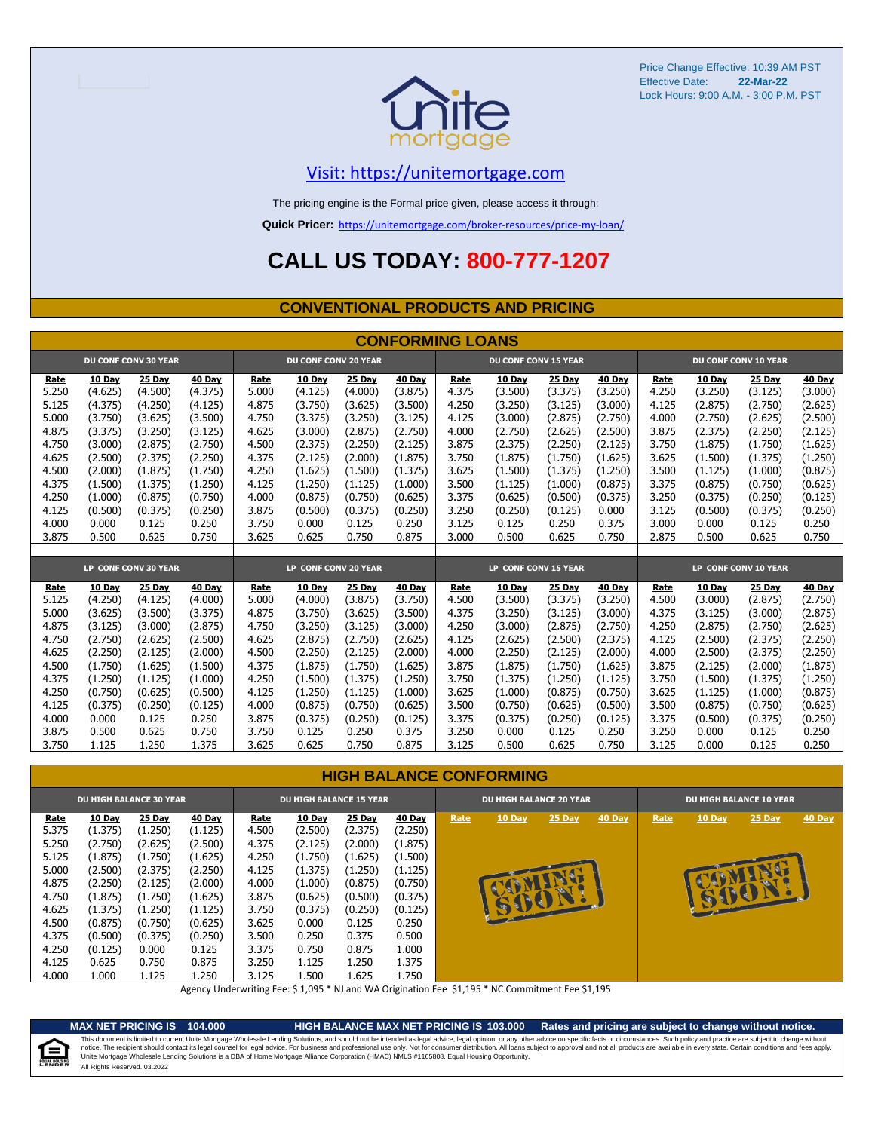

# [V](https://unitemortgage.com/)isit: https://unitemortgage.com

The pricing engine is the Formal price given, please access it through:

**Quick Pricer:** [https://un](https://unitemortgage.com/broker-resources/price-my-loan/)itemortgage.com/broker-resources/price-my-loan/

# **CALL US TODAY: 800-777-1207**

### **CONVENTIONAL PRODUCTS AND PRICING**

|       | <b>CONFORMING LOANS</b> |                             |         |       |                             |         |         |       |                             |         |         |       |               |                             |         |
|-------|-------------------------|-----------------------------|---------|-------|-----------------------------|---------|---------|-------|-----------------------------|---------|---------|-------|---------------|-----------------------------|---------|
|       |                         | <b>DU CONF CONV 30 YEAR</b> |         |       | <b>DU CONF CONV 20 YEAR</b> |         |         |       | <b>DU CONF CONV 15 YEAR</b> |         |         |       |               | <b>DU CONF CONV 10 YEAR</b> |         |
| Rate  | 10 Day                  | 25 Day                      | 40 Day  | Rate  | 10 Day                      | 25 Day  | 40 Day  | Rate  | 10 Day                      | 25 Day  | 40 Day  | Rate  | <b>10 Day</b> | 25 Day                      | 40 Day  |
| 5.250 | (4.625)                 | (4.500)                     | (4.375) | 5.000 | (4.125)                     | (4.000) | (3.875) | 4.375 | (3.500)                     | (3.375) | (3.250) | 4.250 | (3.250)       | (3.125)                     | (3.000) |
| 5.125 | (4.375)                 | (4.250)                     | (4.125) | 4.875 | (3.750)                     | (3.625) | (3.500) | 4.250 | (3.250)                     | (3.125) | (3.000) | 4.125 | (2.875)       | (2.750)                     | (2.625) |
| 5.000 | (3.750)                 | (3.625)                     | (3.500) | 4.750 | (3.375)                     | (3.250) | (3.125) | 4.125 | (3.000)                     | (2.875) | (2.750) | 4.000 | (2.750)       | (2.625)                     | (2.500) |
| 4.875 | (3.375)                 | (3.250)                     | (3.125) | 4.625 | (3.000)                     | (2.875) | (2.750) | 4.000 | (2.750)                     | (2.625) | (2.500) | 3.875 | (2.375)       | (2.250)                     | (2.125) |
| 4.750 | (3.000)                 | (2.875)                     | (2.750) | 4.500 | (2.375)                     | (2.250) | (2.125) | 3.875 | (2.375)                     | (2.250) | (2.125) | 3.750 | (1.875)       | (1.750)                     | (1.625) |
| 4.625 | (2.500)                 | (2.375)                     | (2.250) | 4.375 | (2.125)                     | (2.000) | (1.875) | 3.750 | (1.875)                     | (1.750) | (1.625) | 3.625 | (1.500)       | (1.375)                     | (1.250) |
| 4.500 | (2.000)                 | (1.875)                     | (1.750) | 4.250 | (1.625)                     | (1.500) | (1.375) | 3.625 | (1.500)                     | (1.375) | (1.250) | 3.500 | (1.125)       | (1.000)                     | (0.875) |
| 4.375 | (1.500)                 | (1.375)                     | (1.250) | 4.125 | (1.250)                     | (1.125) | (1.000) | 3.500 | (1.125)                     | (1.000) | (0.875) | 3.375 | (0.875)       | (0.750)                     | (0.625) |
| 4.250 | (1.000)                 | (0.875)                     | (0.750) | 4.000 | (0.875)                     | (0.750) | (0.625) | 3.375 | (0.625)                     | (0.500) | (0.375) | 3.250 | (0.375)       | (0.250)                     | (0.125) |
| 4.125 | (0.500)                 | (0.375)                     | (0.250) | 3.875 | (0.500)                     | (0.375) | (0.250) | 3.250 | (0.250)                     | (0.125) | 0.000   | 3.125 | (0.500)       | (0.375)                     | (0.250) |
| 4.000 | 0.000                   | 0.125                       | 0.250   | 3.750 | 0.000                       | 0.125   | 0.250   | 3.125 | 0.125                       | 0.250   | 0.375   | 3.000 | 0.000         | 0.125                       | 0.250   |
| 3.875 | 0.500                   | 0.625                       | 0.750   | 3.625 | 0.625                       | 0.750   | 0.875   | 3.000 | 0.500                       | 0.625   | 0.750   | 2.875 | 0.500         | 0.625                       | 0.750   |
|       |                         |                             |         |       |                             |         |         |       |                             |         |         |       |               |                             |         |
|       |                         | LP CONF CONV 30 YEAR        |         |       | LP CONF CONV 20 YEAR        |         |         |       | LP CONF CONV 15 YEAR        |         |         |       |               | LP CONF CONV 10 YEAR        |         |
| Rate  | 10 Dav                  | 25 Day                      | 40 Day  | Rate  | 10 Day                      | 25 Day  | 40 Day  | Rate  | 10 Dav                      | 25 Day  | 40 Day  | Rate  | <b>10 Day</b> | 25 Day                      | 40 Day  |
| 5.125 | (4.250)                 | (4.125)                     | (4.000) | 5.000 | (4.000)                     | (3.875) | (3.750) | 4.500 | (3.500)                     | (3.375) | (3.250) | 4.500 | (3.000)       | (2.875)                     | (2.750) |
| 5.000 | (3.625)                 | (3.500)                     | (3.375) | 4.875 | (3.750)                     | (3.625) | (3.500) | 4.375 | (3.250)                     | (3.125) | (3.000) | 4.375 | (3.125)       | (3.000)                     | (2.875) |
| 4.875 | (3.125)                 | (3.000)                     | (2.875) | 4.750 | (3.250)                     | (3.125) | (3.000) | 4.250 | (3.000)                     | (2.875) | (2.750) | 4.250 | (2.875)       | (2.750)                     | (2.625) |
| 4.750 | (2.750)                 | (2.625)                     | (2.500) | 4.625 | (2.875)                     | (2.750) | (2.625) | 4.125 | (2.625)                     | (2.500) | (2.375) | 4.125 | (2.500)       | (2.375)                     | (2.250) |
| 4.625 | (2.250)                 | (2.125)                     | (2.000) | 4.500 | (2.250)                     | (2.125) | (2.000) | 4.000 | (2.250)                     | (2.125) | (2.000) | 4.000 | (2.500)       | (2.375)                     | (2.250) |
| 4.500 | (1.750)                 | (1.625)                     | (1.500) | 4.375 | (1.875)                     | (1.750) | (1.625) | 3.875 | (1.875)                     | (1.750) | (1.625) | 3.875 | (2.125)       | (2.000)                     | (1.875) |
| 4.375 | (1.250)                 | (1.125)                     | (1.000) | 4.250 | (1.500)                     | (1.375) | (1.250) | 3.750 | (1.375)                     | (1.250) | (1.125) | 3.750 | (1.500)       | (1.375)                     | (1.250) |
| 4.250 | (0.750)                 | (0.625)                     | (0.500) | 4.125 | (1.250)                     | (1.125) | (1.000) | 3.625 | (1.000)                     | (0.875) | (0.750) | 3.625 | (1.125)       | (1.000)                     | (0.875) |
| 4.125 | (0.375)                 | (0.250)                     | (0.125) | 4.000 | (0.875)                     | (0.750) | (0.625) | 3.500 | (0.750)                     | (0.625) | (0.500) | 3.500 | (0.875)       | (0.750)                     | (0.625) |
| 4.000 | 0.000                   | 0.125                       | 0.250   | 3.875 | (0.375)                     | (0.250) | (0.125) | 3.375 | (0.375)                     | (0.250) | (0.125) | 3.375 | (0.500)       | (0.375)                     | (0.250) |
| 3.875 | 0.500                   | 0.625                       | 0.750   | 3.750 | 0.125                       | 0.250   | 0.375   | 3.250 | 0.000                       | 0.125   | 0.250   | 3.250 | 0.000         | 0.125                       | 0.250   |
| 3.750 | 1.125                   | 1.250                       | 1.375   | 3.625 | 0.625                       | 0.750   | 0.875   | 3.125 | 0.500                       | 0.625   | 0.750   | 3.125 | 0.000         | 0.125                       | 0.250   |

### **HIGH BALANCE CONFORMING**

|                                                                                                         | <b>DU HIGH BALANCE 30 YEAR</b>                                                                                                       |                                                                                                                             |                                                                                                                                    |                                                                                                         | <b>DU HIGH BALANCE 15 YEAR</b>                                                                                                 |                                                                                                                                |                                                                                                                                |      | <b>DU HIGH BALANCE 20 YEAR</b> |                  |               |      | <b>DU HIGH BALANCE 10 YEAR</b> |                    |               |  |  |
|---------------------------------------------------------------------------------------------------------|--------------------------------------------------------------------------------------------------------------------------------------|-----------------------------------------------------------------------------------------------------------------------------|------------------------------------------------------------------------------------------------------------------------------------|---------------------------------------------------------------------------------------------------------|--------------------------------------------------------------------------------------------------------------------------------|--------------------------------------------------------------------------------------------------------------------------------|--------------------------------------------------------------------------------------------------------------------------------|------|--------------------------------|------------------|---------------|------|--------------------------------|--------------------|---------------|--|--|
| Rate<br>5.375<br>5.250<br>5.125<br>5.000<br>4.875<br>4.750<br>4.625<br>4.500<br>4.375<br>4.250<br>4.125 | <b>10 Day</b><br>(1.375)<br>(2.750)<br>(1.875)<br>(2.500)<br>(2.250)<br>(1.875)<br>(1.375)<br>(0.875)<br>(0.500)<br>(0.125)<br>0.625 | 25 Day<br>(1.250)<br>(2.625)<br>(1.750)<br>(2.375)<br>(2.125)<br>(1.750)<br>(1.250)<br>(0.750)<br>(0.375)<br>0.000<br>0.750 | <b>40 Day</b><br>(1.125)<br>(2.500)<br>(1.625)<br>(2.250)<br>(2.000)<br>(1.625)<br>(1.125)<br>(0.625)<br>(0.250)<br>0.125<br>0.875 | Rate<br>4.500<br>4.375<br>4.250<br>4.125<br>4.000<br>3.875<br>3.750<br>3.625<br>3.500<br>3.375<br>3.250 | <b>10 Day</b><br>(2.500)<br>(2.125)<br>(1.750)<br>(1.375)<br>(1.000)<br>(0.625)<br>(0.375)<br>0.000<br>0.250<br>0.750<br>1.125 | <b>25 Day</b><br>(2.375)<br>(2.000)<br>(1.625)<br>(1.250)<br>(0.875)<br>(0.500)<br>(0.250)<br>0.125<br>0.375<br>0.875<br>1.250 | <b>40 Day</b><br>(2.250)<br>(1.875)<br>(1.500)<br>(1.125)<br>(0.750)<br>(0.375)<br>(0.125)<br>0.250<br>0.500<br>1.000<br>1.375 | Rate | 10 Day<br>法                    | 25 Day<br>JUEDIT | <b>40 Day</b> | Rate | 10 Day                         | 25 Day<br><b>a</b> | <b>40 Day</b> |  |  |
| 4.000                                                                                                   | 1.000                                                                                                                                | 1.125                                                                                                                       | 1.250                                                                                                                              | 3.125                                                                                                   | 1.500                                                                                                                          | 1.625                                                                                                                          | 1.750                                                                                                                          |      |                                |                  |               |      |                                |                    |               |  |  |

Agency Underwriting Fee: \$ 1,095 \* NJ and WA Origination Fee \$1,195 \* NC Commitment Fee \$1,195

⋹

**MAX NET PRICING IS 104.000 HIGH BALANCE MAX NET PRICING IS 103.000 Rates and pricing are subject to change without notice.** All Rights Reserved. 03.2022 This document is limited to current Unite Mortgage Wholesale Lending Solutions, and should not be intended as legal advice, legal opinion, or any other advice on specific facts or circumstances. Such policy and practice ar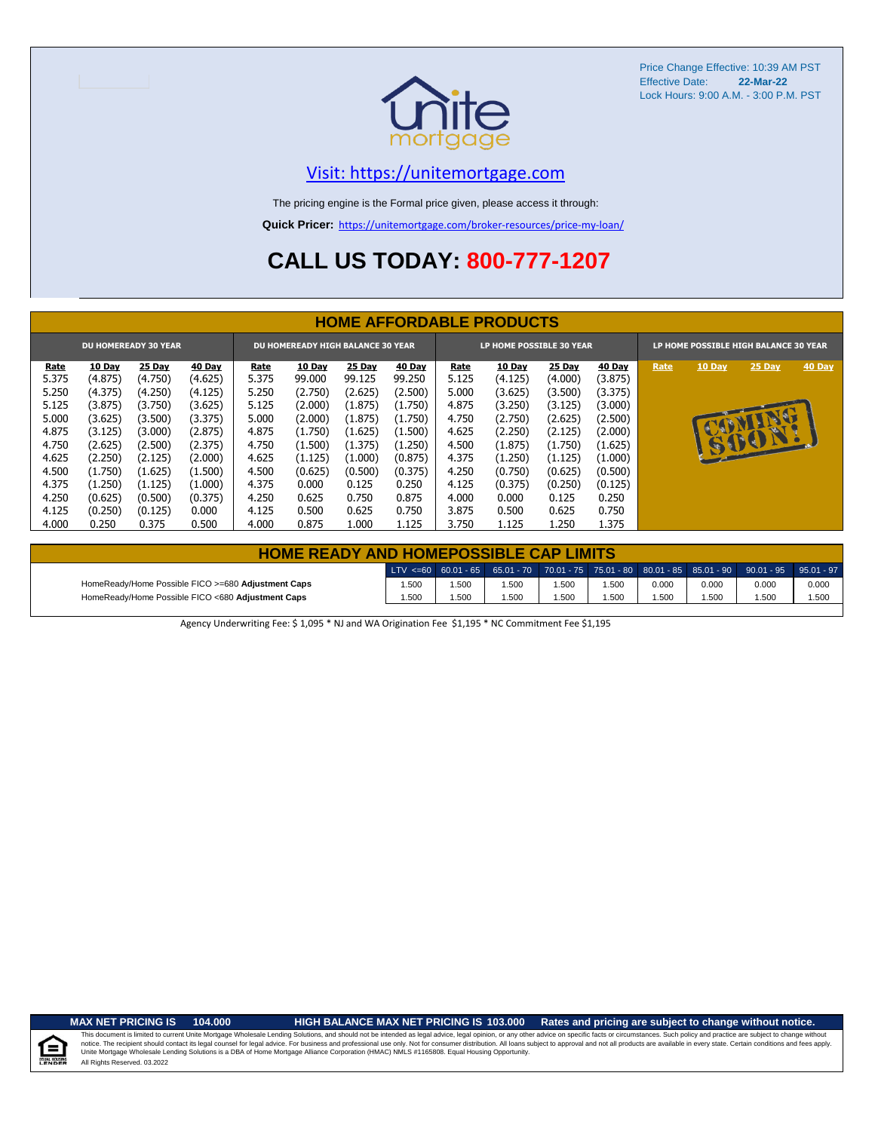

# [V](https://unitemortgage.com/)isit: https://unitemortgage.com

The pricing engine is the Formal price given, please access it through:

**Quick Pricer:** [https://un](https://unitemortgage.com/broker-resources/price-my-loan/)itemortgage.com/broker-resources/price-my-loan/

# **CALL US TODAY: 800-777-1207**

|                                                                         | <b>HOME AFFORDABLE PRODUCTS</b> |         |         |       |         |         |         |       |                                                                   |               |         |      |        |        |        |
|-------------------------------------------------------------------------|---------------------------------|---------|---------|-------|---------|---------|---------|-------|-------------------------------------------------------------------|---------------|---------|------|--------|--------|--------|
| <b>DU HOMEREADY 30 YEAR</b><br><b>DU HOMEREADY HIGH BALANCE 30 YEAR</b> |                                 |         |         |       |         |         |         |       | LP HOME POSSIBLE 30 YEAR<br>LP HOME POSSIBLE HIGH BALANCE 30 YEAR |               |         |      |        |        |        |
| Rate                                                                    | 10 Day                          | 25 Day  | 40 Day  | Rate  | 10 Day  | 25 Day  | 40 Day  | Rate  | 10 Day                                                            | <b>25 Day</b> | 40 Day  | Rate | 10 Day | 25 Day | 40 Day |
| 5.375                                                                   | (4.875)                         | (4.750) | (4.625) | 5.375 | 99.000  | 99.125  | 99.250  | 5.125 | (4.125)                                                           | (4.000)       | (3.875) |      |        |        |        |
| 5.250                                                                   | (4.375)                         | (4.250) | (4.125) | 5.250 | (2.750) | (2.625) | (2.500) | 5.000 | (3.625)                                                           | (3.500)       | (3.375) |      |        |        |        |
| 5.125                                                                   | (3.875)                         | (3.750) | (3.625) | 5.125 | (2.000) | (1.875) | (1.750) | 4.875 | (3.250)                                                           | (3.125)       | (3.000) |      |        |        |        |
| 5.000                                                                   | (3.625)                         | (3.500) | (3.375) | 5.000 | (2.000) | (1.875) | (1.750) | 4.750 | (2.750)                                                           | (2.625)       | (2.500) |      |        |        |        |
| 4.875                                                                   | (3.125)                         | (3.000) | (2.875) | 4.875 | (1.750) | (1.625) | (1.500) | 4.625 | (2.250)                                                           | (2.125)       | (2.000) |      |        |        |        |
| 4.750                                                                   | (2.625)                         | (2.500) | (2.375) | 4.750 | (1.500) | (1.375) | (1.250) | 4.500 | (1.875)                                                           | (1.750)       | (1.625) |      |        | 15001  |        |
| 4.625                                                                   | (2.250)                         | (2.125) | (2.000) | 4.625 | (1.125) | (1.000) | (0.875) | 4.375 | (1.250)                                                           | (1.125)       | (1.000) |      |        |        |        |
| 4.500                                                                   | (1.750)                         | (1.625) | (1.500) | 4.500 | (0.625) | (0.500) | (0.375) | 4.250 | (0.750)                                                           | (0.625)       | (0.500) |      |        |        |        |
| 4.375                                                                   | (1.250)                         | (1.125) | (1.000) | 4.375 | 0.000   | 0.125   | 0.250   | 4.125 | (0.375)                                                           | (0.250)       | (0.125) |      |        |        |        |
| 4.250                                                                   | (0.625)                         | (0.500) | (0.375) | 4.250 | 0.625   | 0.750   | 0.875   | 4.000 | 0.000                                                             | 0.125         | 0.250   |      |        |        |        |
| 4.125                                                                   | (0.250)                         | (0.125) | 0.000   | 4.125 | 0.500   | 0.625   | 0.750   | 3.875 | 0.500                                                             | 0.625         | 0.750   |      |        |        |        |
| 4.000                                                                   | 0.250                           | 0.375   | 0.500   | 4.000 | 0.875   | 1.000   | 1.125   | 3.750 | 1.125                                                             | 1.250         | 1.375   |      |        |        |        |

|                                                    | <b>HOME READY AND HOMEPOSSIBLE CAP LIMITS</b> |      |      |       |      |       |       |                                                                                                  |       |  |  |  |  |  |
|----------------------------------------------------|-----------------------------------------------|------|------|-------|------|-------|-------|--------------------------------------------------------------------------------------------------|-------|--|--|--|--|--|
|                                                    |                                               |      |      |       |      |       |       | LTV <=60 60.01 - 65 65.01 - 70 70.01 - 75 75.01 - 80 80.01 - 85 85.01 - 90 90.01 - 95 95.01 - 97 |       |  |  |  |  |  |
| HomeReady/Home Possible FICO >=680 Adjustment Caps | 1.500                                         | .500 | .500 | 1.500 | .500 | 0.000 | 0.000 | 0.000                                                                                            | 0.000 |  |  |  |  |  |
| HomeReady/Home Possible FICO <680 Adjustment Caps  | 1.500                                         | .500 | .500 | 1.500 | .500 | 1.500 | 1.500 | 1.500                                                                                            | 1.500 |  |  |  |  |  |

Agency Underwriting Fee: \$ 1,095 \* NJ and WA Origination Fee \$1,195 \* NC Commitment Fee \$1,195

 $\equiv$ 

**MAX NET PRICING IS 104.000 HIGH BALANCE MAX NET PRICING IS 103.000 Rates and pricing are subject to change without notice.**

All Rights Reserved. 03.2022 This document is limited to current Unite Mortgage Wholesale Lending Solutions, and should not be intended as legal advice, legal opinion, or any other advice on specific facts or circumstances. Such policy and practice ar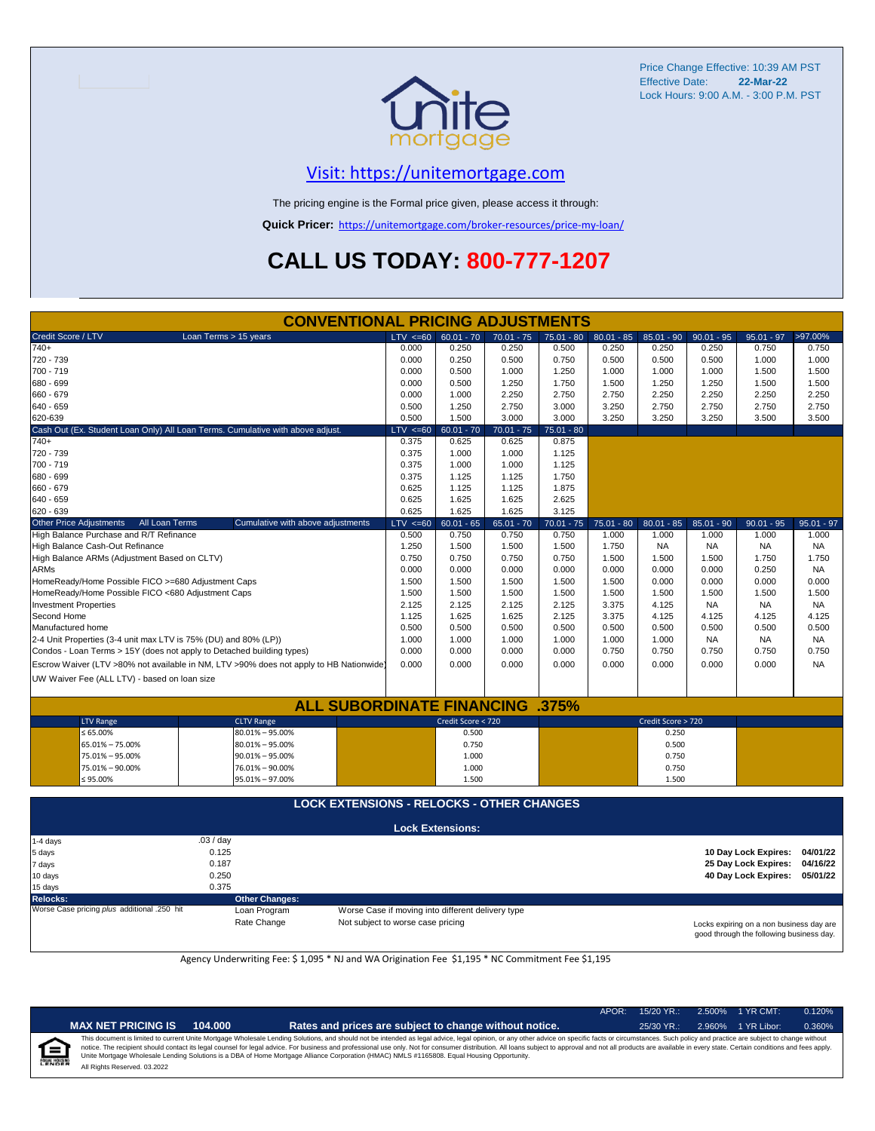

## [V](https://unitemortgage.com/)isit: https://unitemortgage.com

The pricing engine is the Formal price given, please access it through:

**Quick Pricer:** [https://un](https://unitemortgage.com/broker-resources/price-my-loan/)itemortgage.com/broker-resources/price-my-loan/

# **CALL US TODAY: 800-777-1207**

| <b>CONVENTIONAL PRICING ADJUSTMENTS</b>            |                                 |                                                                                        |       |              |                         |              |              |              |                    |              |                      |              |
|----------------------------------------------------|---------------------------------|----------------------------------------------------------------------------------------|-------|--------------|-------------------------|--------------|--------------|--------------|--------------------|--------------|----------------------|--------------|
| Credit Score / LTV                                 |                                 | Loan Terms > 15 years                                                                  |       | $LTV \le 60$ | $60.01 - 70$            | $70.01 - 75$ | 75.01 - 80   | $80.01 - 85$ | $85.01 - 90$       | $90.01 - 95$ | $95.01 - 97$         | >97.00%      |
| $740+$                                             |                                 |                                                                                        |       | 0.000        | 0.250                   | 0.250        | 0.500        | 0.250        | 0.250              | 0.250        | 0.750                | 0.750        |
| 720 - 739                                          |                                 |                                                                                        |       | 0.000        | 0.250                   | 0.500        | 0.750        | 0.500        | 0.500              | 0.500        | 1.000                | 1.000        |
| 700 - 719                                          |                                 |                                                                                        |       | 0.000        | 0.500                   | 1.000        | 1.250        | 1.000        | 1.000              | 1.000        | 1.500                | 1.500        |
| 680 - 699                                          |                                 |                                                                                        |       |              |                         |              | 1.750        | 1.500        | 1.250              | 1.250        | 1.500                | 1.500        |
| 660 - 679                                          |                                 |                                                                                        |       |              |                         |              | 2.750        | 2.750        | 2.250              | 2.250        | 2.250                | 2.250        |
| 640 - 659                                          |                                 |                                                                                        | 0.500 | 1.250        | 2.750                   | 3.000        | 3.250        | 2.750        | 2.750              | 2.750        | 2.750                |              |
| 620-639                                            |                                 |                                                                                        | 0.500 | 1.500        | 3.000                   | 3.000        | 3.250        | 3.250        | 3.250              | 3.500        | 3.500                |              |
|                                                    |                                 | Cash Out (Ex. Student Loan Only) All Loan Terms. Cumulative with above adjust.         |       | $LTV < =60$  | $60.01 - 70$            | $70.01 - 75$ | $75.01 - 80$ |              |                    |              |                      |              |
| $740+$                                             |                                 |                                                                                        |       | 0.375        | 0.625                   | 0.625        | 0.875        |              |                    |              |                      |              |
| 720 - 739                                          |                                 |                                                                                        |       | 0.375        | 1.000                   | 1.000        | 1.125        |              |                    |              |                      |              |
| 700 - 719                                          |                                 |                                                                                        |       | 0.375        | 1.000                   | 1.000        | 1.125        |              |                    |              |                      |              |
| 680 - 699                                          |                                 |                                                                                        |       | 0.375        | 1.125                   | 1.125        | 1.750        |              |                    |              |                      |              |
| 660 - 679                                          |                                 |                                                                                        |       | 0.625        | 1.125                   | 1.125        | 1.875        |              |                    |              |                      |              |
| 640 - 659                                          |                                 |                                                                                        |       | 0.625        | 1.625                   | 1.625        | 2.625        |              |                    |              |                      |              |
| 620 - 639                                          |                                 |                                                                                        |       | 0.625        | 1.625                   | 1.625        | 3.125        |              |                    |              |                      |              |
| <b>Other Price Adjustments</b>                     | All Loan Terms                  | Cumulative with above adjustments                                                      |       | LTV < 60     | $60.01 - 65$            | $65.01 - 70$ | $70.01 - 75$ | 75.01 - 80   | $80.01 - 85$       | $85.01 - 90$ | $90.01 - 95$         | $95.01 - 97$ |
| High Balance Purchase and R/T Refinance            |                                 |                                                                                        |       | 0.500        | 0.750                   | 0.750        | 0.750        | 1.000        | 1.000              | 1.000        | 1.000                | 1.000        |
|                                                    | High Balance Cash-Out Refinance |                                                                                        |       |              |                         | 1.500        | 1.500        | 1.750        | <b>NA</b>          | <b>NA</b>    | <b>NA</b>            | <b>NA</b>    |
| High Balance ARMs (Adjustment Based on CLTV)       |                                 |                                                                                        |       |              | 0.750                   | 0.750        | 0.750        | 1.500        | 1.500              | 1.500        | 1.750                | 1.750        |
| <b>ARMs</b>                                        |                                 |                                                                                        |       | 0.000        | 0.000                   | 0.000        | 0.000        | 0.000        | 0.000              | 0.000        | 0.250                | <b>NA</b>    |
| HomeReady/Home Possible FICO >=680 Adjustment Caps |                                 |                                                                                        |       | 1.500        | 1.500                   | 1.500        | 1.500        | 1.500        | 0.000              | 0.000        | 0.000                | 0.000        |
| HomeReady/Home Possible FICO <680 Adjustment Caps  |                                 |                                                                                        |       | 1.500        | 1.500                   | 1.500        | 1.500        | 1.500        | 1.500              | 1.500        | 1.500                | 1.500        |
| <b>Investment Properties</b>                       |                                 |                                                                                        |       | 2.125        | 2.125                   | 2.125        | 2.125        | 3.375        | 4.125              | <b>NA</b>    | <b>NA</b>            | <b>NA</b>    |
| Second Home                                        |                                 |                                                                                        |       | 1.125        | 1.625                   | 1.625        | 2.125        | 3.375        | 4.125              | 4.125        | 4.125                | 4.125        |
| Manufactured home                                  |                                 |                                                                                        |       | 0.500        | 0.500                   | 0.500        | 0.500        | 0.500        | 0.500              | 0.500        | 0.500                | 0.500        |
|                                                    |                                 | 2-4 Unit Properties (3-4 unit max LTV is 75% (DU) and 80% (LP))                        |       | 1.000        | 1.000                   | 1.000        | 1.000        | 1.000        | 1.000              | <b>NA</b>    | <b>NA</b>            | <b>NA</b>    |
|                                                    |                                 | Condos - Loan Terms > 15Y (does not apply to Detached building types)                  |       | 0.000        | 0.000                   | 0.000        | 0.000        | 0.750        | 0.750              | 0.750        | 0.750                | 0.750        |
|                                                    |                                 | Escrow Waiver (LTV >80% not available in NM, LTV >90% does not apply to HB Nationwide) |       | 0.000        | 0.000                   | 0.000        | 0.000        | 0.000        | 0.000              | 0.000        | 0.000                | <b>NA</b>    |
| UW Waiver Fee (ALL LTV) - based on loan size       |                                 |                                                                                        |       |              |                         |              |              |              |                    |              |                      |              |
|                                                    |                                 |                                                                                        |       |              |                         |              |              |              |                    |              |                      |              |
|                                                    |                                 | <b>ALL SUBORDINATE FINANCING .375%</b>                                                 |       |              |                         |              |              |              |                    |              |                      |              |
| <b>LTV Range</b>                                   |                                 | <b>CLTV Range</b>                                                                      |       |              | Credit Score < 720      |              |              |              | Credit Score > 720 |              |                      |              |
| $\leq 65.00\%$                                     |                                 | $80.01\% - 95.00\%$                                                                    |       |              | 0.500                   |              |              |              | 0.250              |              |                      |              |
| 65.01% - 75.00%                                    |                                 | $80.01\% - 95.00\%$                                                                    |       |              | 0.750                   |              |              |              | 0.500              |              |                      |              |
| 75.01% - 95.00%                                    |                                 | $90.01\% - 95.00\%$                                                                    |       |              | 1.000                   |              |              |              | 0.750              |              |                      |              |
| 75.01% - 90.00%                                    |                                 | 76.01% - 90.00%                                                                        |       |              | 1.000                   |              |              |              | 0.750              |              |                      |              |
| $\leq 95.00\%$<br>95.01% - 97.00%                  |                                 |                                                                                        |       |              | 1.500                   |              |              |              | 1.500              |              |                      |              |
|                                                    |                                 |                                                                                        |       |              |                         |              |              |              |                    |              |                      |              |
|                                                    |                                 | <b>LOCK EXTENSIONS - RELOCKS - OTHER CHANGES</b>                                       |       |              |                         |              |              |              |                    |              |                      |              |
|                                                    |                                 |                                                                                        |       |              | <b>Lock Extensions:</b> |              |              |              |                    |              |                      |              |
| 1-4 days                                           |                                 | .03/day                                                                                |       |              |                         |              |              |              |                    |              |                      |              |
| 5 days                                             |                                 | 0.125                                                                                  |       |              |                         |              |              |              |                    |              | 10 Day Lock Expires: | 04/01/22     |
| 7 days                                             |                                 | 0.187                                                                                  |       |              |                         |              |              |              |                    |              | 25 Day Lock Expires: | 04/16/22     |
| 10 days                                            |                                 | 0.250                                                                                  |       |              |                         |              |              |              |                    |              | 40 Day Lock Expires: | 05/01/22     |
| 15 days<br>0.375                                   |                                 |                                                                                        |       |              |                         |              |              |              |                    |              |                      |              |

**Relocks: Other Changes:**

Loan Program *plus* Worse Case if moving into different delivery type Rate Change Mot subject to worse case pricing

Locks expiring on a non business day are good through the following business day.

Agency Underwriting Fee: \$ 1,095 \* NJ and WA Origination Fee \$1,195 \* NC Commitment Fee \$1,195

| ٠     |
|-------|
| ENDER |

**IAX NET PRICING IS** 104.000 **Rates and prices are subject to change without notice.** 25/30 YR.: 2.960% 1 YR Libor: 0.360%

APOR: 15/20 YR.: 2.500% 1 YR CMT: 0.120%

All Rights Reserved. 03.2022 This document is limited to current Unite Mortgage Wholesale Lending Solutions, and should not be intended as legal advice, legal opinion, or any other advice on specific facts or circumstances. Such policy and practice ar